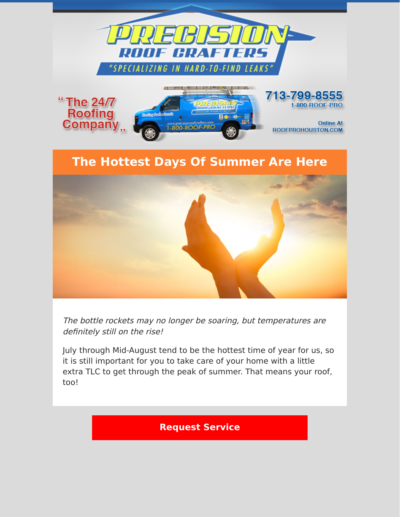



The bottle rockets may no longer be soaring, but temperatures are definitely still on the rise!

July through Mid-August tend to be the hottest time of year for us, so it is still important for you to take care of your home with a little extra TLC to get through the peak of summer. That means your roof, too!

**[Request Service](https://www.precisionroofcrafters.com/contact-us.php)**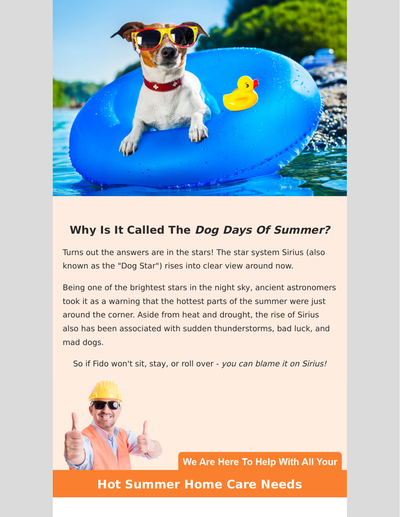

## **Why Is It Called The Dog Days Of Summer?**

Turns out the answers are in the stars! The star system Sirius (also known as the "Dog Star") rises into clear view around now.

Being one of the brightest stars in the night sky, ancient astronomers took it as a warning that the hottest parts of the summer were just around the corner. Aside from heat and drought, the rise of Sirius also has been associated with sudden thunderstorms, bad luck, and mad dogs.

So if Fido won't sit, stay, or roll over - you can blame it on Sirius!



We Are Here To Help With All Your

## **Hot Summer Home Care Needs**